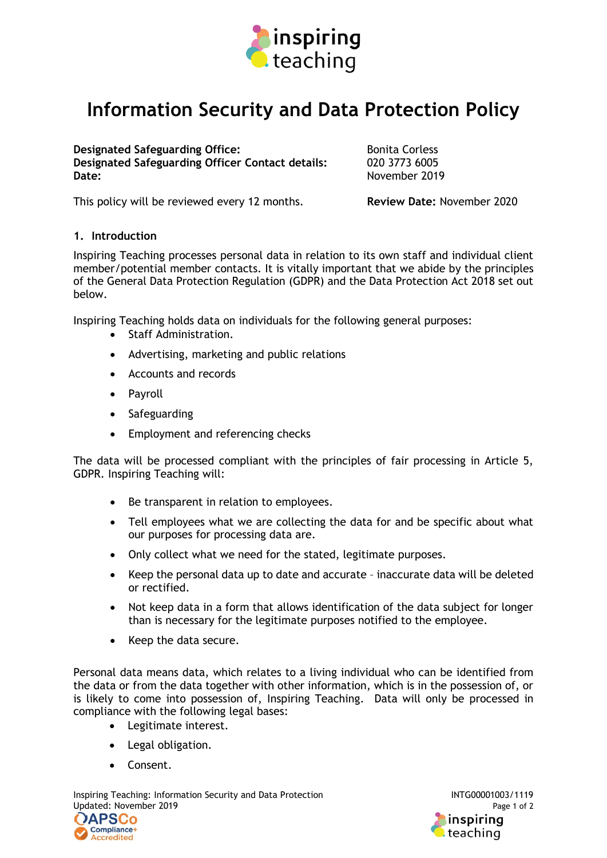

## **Information Security and Data Protection Policy**

**Designated Safeguarding Office: Designated Safeguarding Office: Contact details:** Bonita Corless<br>**Designated Safeguarding Officer Contact details:** 020 3773 6005 **Designated Safeguarding Officer Contact details: Date:** November 2019

This policy will be reviewed every 12 months. **Review Date:** November 2020

## **1. Introduction**

Inspiring Teaching processes personal data in relation to its own staff and individual client member/potential member contacts. It is vitally important that we abide by the principles of the General Data Protection Regulation (GDPR) and the Data Protection Act 2018 set out below.

Inspiring Teaching holds data on individuals for the following general purposes:

- Staff Administration.
- Advertising, marketing and public relations
- Accounts and records
- Payroll
- Safeguarding
- Employment and referencing checks

The data will be processed compliant with the principles of fair processing in Article 5, GDPR. Inspiring Teaching will:

- Be transparent in relation to employees.
- Tell employees what we are collecting the data for and be specific about what our purposes for processing data are.
- Only collect what we need for the stated, legitimate purposes.
- Keep the personal data up to date and accurate inaccurate data will be deleted or rectified.
- Not keep data in a form that allows identification of the data subject for longer than is necessary for the legitimate purposes notified to the employee.
- Keep the data secure.

Personal data means data, which relates to a living individual who can be identified from the data or from the data together with other information, which is in the possession of, or is likely to come into possession of, Inspiring Teaching. Data will only be processed in compliance with the following legal bases:

- Legitimate interest.
- Legal obligation.
- Consent.

Inspiring Teaching: Information Security and Data Protection Intervention INTG00001003/1119 Updated: November 2019 **Page 1 of 2** Page 1 of 2 **DAPSCo**